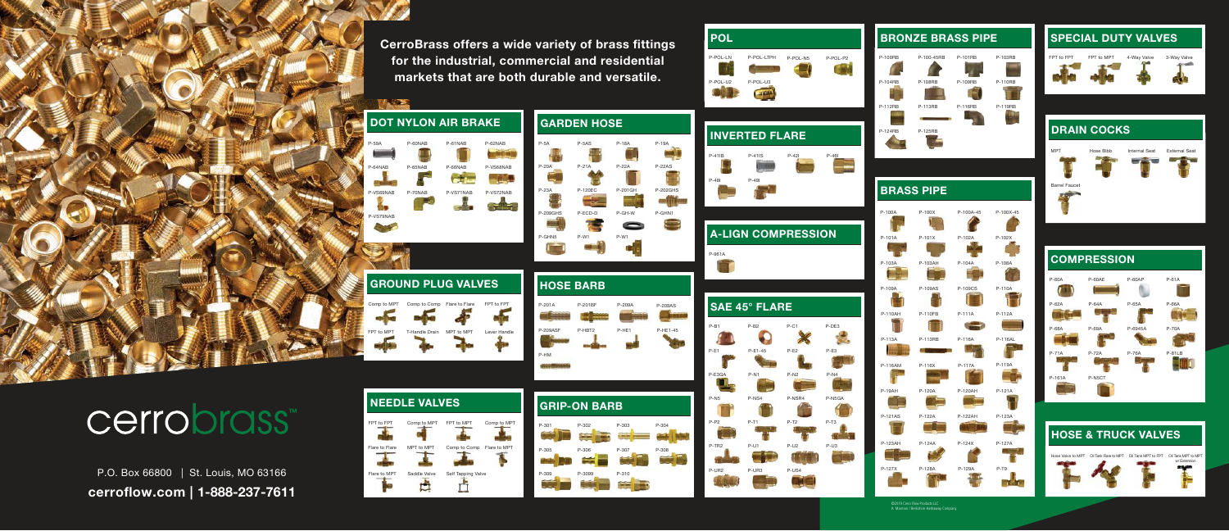



#### DRAIN COCKS



#### **HOSE & TRUCK VALVES**





### cerrobrass<sup>™</sup>



#### BRONZE BRASS PIPE SPECIAL DUTY VALVES

©2019 Cerro Flow Products LLC A Marmon / Berkshire Hathaway Company



cerroflow.com | 1-888-237-7611 P.O. Box 66800 | St. Louis, MO 63166

### Flare to Flare FPT to FPT GROUND PLUG VALVES



#### **COMPRESSION**











CerroBrass offers a wide variety of brass fittings for the industrial, commercial and residential markets that are both durable and versatile.